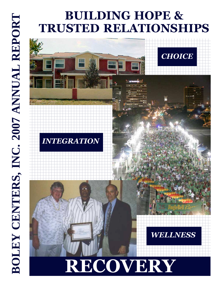## **BUILDING HOPE & TRUSTED RELATIONSHIPS**

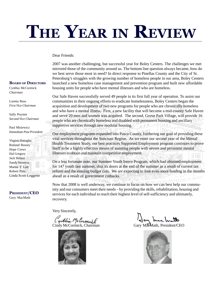# **THE YEAR IN REVIEW**

#### Dear Friends:

2007 was another challenging, but successful year for Boley Centers. The challenges we met mirrored those of the community around us. The bottom line question always became, how do we best serve those most in need? In direct response to Pinellas County and the City of St. Petersburg's struggles with the growing number of homeless people in our area, Boley Centers launched a new homeless case management and prevention program and built new affordable housing units for people who have mental illnesses and who are homeless.

Our Safe Haven successfully served 49 people in its first full year of operation. To assist our communities in their ongoing efforts to eradicate homelessness, Boley Centers began the acquisition and development of two new programs for people who are chronically homeless and who have a mental illness. First, a new facility that will become a mid-county Safe Haven and serve 20 men and women was acquired. The second, Grove Park Village, will provide 16 people who are chronically homeless and disabled with permanent housing and ancillary supportive services through new modular housing. n at

Our employment programs expanded into Pasco County, furthering our goal of providing these vital services throughout the Suncoast Region. As we enter our second year of the Mental Health Treatment Study, our best practices Supported Employment program continues to prove itself to be a highly effective means of assisting people with severe and persistent mental illnesses to obtain and maintain competitive employment.

On a less fortunate note, our Summer Youth Intern Program, which had obtained employment for 147 youth last summer, shut its doors at the end of the summer as a result of current tax reform and the ensuing budget cuts. We are expecting to lose even more funding in the months ahead as a result of government cutbacks.

Now that 2008 is well underway, we continue to focus on how we can best help our community and our consumers meet their needs – by providing the skills, rehabilitation, housing and services for each individual to reach their highest level of self-sufficiency and ultimately, recovery.

Very Sincerely,

Cyrthia Melormeil Jay Mac Math





#### **BOARD OF DIRECTORS**

Cynthia McCormick *Chairman*

Loretta Ross *First Vice Chairman*

Sally Poynter *Second Vice Chairman*

Paul Misiewicz *Immediate Past President*

Virginia Battaglia Rutland Bussey Hope Crews Hal Gregory Jack Hebert Sandy Incorvia Martin T. Lott Robert Pitts Linda Scott-Leggette

**PRESIDENT/CEO** Gary MacMath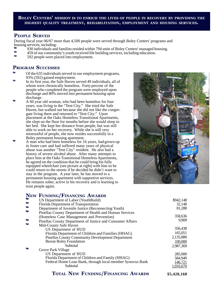#### **BOLEY CENTERS'** *MISSION* **IS TO ENRICH THE LIVES OF PEOPLE IN RECOVERY BY PROVIDING THE HIGHEST QUALITY TREATMENT, REHABILITATION, EMPLOYMENT AND HOUSING SERVICES.**

#### **PEOPLE SERVED**

During fiscal year 06/07 more than 4,500 people were served through Boley Centers' programs and housing services, including:<br> $\frac{1}{2}$  and  $\frac{1}{2}$  and  $\frac{1}{2}$  and  $\frac{1}{2}$  and  $\frac{1}{2}$  and  $\frac{1}{2}$  and  $\frac{1}{2}$  and  $\frac{1}{2}$  and  $\frac{1}{2}$  and  $\frac{1}{2}$  and  $\frac{1}{2}$  and  $\frac{1}{2}$  and  $\frac{1}{2}$  and  $\frac{1}{2}$ 

- ™ 930 individuals and families resided within 794 units of Boley Centers' managed housing.
- ™ 459 of our community's youth received life building services, including education.
- 592 people were placed into employment.

#### **PROGRAM SUCCESSES**

- Of the 635 individuals served in our employment programs, 93% (592) gained employment.
- In its first year, the Safe Haven served 49 individuals, all of whom were chronically homeless. Forty percent of the people who completed the program were employed upon discharge and 80% moved into permanent housing upon discharge.
- A 60 year old woman, who had been homeless for four years, was living in the "Tent City." She tried the Safe Haven, but walked out because she did not like the congregate living there and returned to "Tent City." Upon placement at the Oaks Homeless Transitional Apartments, she slept on the floor for months before she would sleep in her bed. She kept her distance from people, but was still able to work on her recovery. While she is still very mistrustful of people, she now resides successfully in a Boley permanent housing apartment.
- A man who had been homeless for 16 years, had grown up in foster care and had suffered many years of physical abuse was another "Tent City" resident. He also had a history of severe alcohol abuse. After many attempts to place him at the Oaks Transitional Homeless Apartments, he agreed on the condition that he could bring his fully equipped wheelchair (see picture at right) with him so he could return to the streets if he decided he didn't want to stay in the program. A year later, he has moved to a permanent housing apartment with supportive services. He remains sober, active in his recovery and is learning to trust people again.

#### **NEW FUNDING/FINANCING AWARDS**



|    | <b>IVEW FUNDING/FINANCING AWAKDS</b>                       |             |
|----|------------------------------------------------------------|-------------|
| TM | US Department of Labor (YouthBuild)                        | \$942,148   |
| TM | Florida Department of Transportation                       | 32,148      |
| TM | Department of Juvenile Justice (Reconnecting Youth)        | 81,288      |
| TM | Pinellas County Department of Health and Human Services    |             |
|    | (Homeless Case Management and Prevention)                  | 358,636     |
| TM | Pinellas County Department of Justice and Consumer Affairs | 9,909       |
| TM | Mid-County Safe Haven                                      |             |
|    | US Department of HUD                                       | 356,438     |
|    | Florida Department of Children and Families (HHAG)         | 165,051     |
|    | <b>Pinellas County Community Development Department</b>    | 2,135,880   |
|    | <b>Bessie Boley Foundation</b>                             | 330,000     |
|    | Subtotal                                                   | 2,987,369   |
| TМ | Grove Park Village                                         |             |
|    | US Department of HUD                                       | 285,000     |
|    | Florida Department of Children and Family (HHAG)           | 584,949     |
|    | Federal Home Loan Bank, through local member Synovus Bank  | 146,721     |
|    | Subtotal                                                   | 1,016,670   |
|    | <b>TOTAL NEW FUNDING/FINANCING AWARDS</b>                  | \$5,428,168 |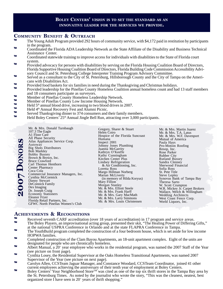#### **BOLEY CENTERS'** *VISION* **IS TO SET THE STANDARD AS AN INNOVATIVE LEADER FOR THE SERVICES WE PROVIDE.**

#### **COMMUNITY BENEFIT & OUTREACH**

- The Young Adult Program provided 292 hours of community service, with \$4,172 paid in restitution by participants in the program.
- ™ Coordinated the Florida ADA Leadership Network as the State Affiliate of the Disability and Business Technical Assistance Center.
- ™ Coordinated statewide training to improve access for individuals with disabilities to the State of Florida court system.
- Provided advocacy for persons with disabilities by serving on the Florida Housing Coalition Board of Directors, Florida Supportive Housing Coalition Board of Directors, Florida Building Code Commission Accessibility Advisory Council and St. Petersburg College Interpreter Training Program Advisory Committee.
- ™ Served as a consultant to the City of St. Petersburg, Hillsborough County and the City of Tampa on the Americans with Disabilities Act.
- ™ Provided food baskets for six families in need during the Thanksgiving and Christmas holidays.
- ™ Provided leadership for the Pinellas County Homeless Coalition annual homeless count and had 13 staff members and 18 consumers participate as surveyors.
- ™ Member of Pinellas County Homeless Leadership Network.
- ™ Member of Pinellas County Low Income Housing Network.<br>™ Held 5<sup>th</sup> annual blood drive, increasing to two blood drives in
- $M = \text{Held } 5^{\text{th}}$  annual blood drive, increasing to two blood drives in 2007.
- $m$  Held  $4th$  Annual Recovery Fest and Alumni Picnic.
- <sup>™</sup> Served Thanksgiving dinner to 374 consumers and their family members.<br>■ Ueld Bolov Conters' 25th Annual lingle Bell Bun, attracting over 3,000 par
- Held Boley Centers'  $25<sup>th</sup>$  Annual Jingle Bell Run, attracting over 3,000 participants.

Mr. & Mrs. Donald Turnbaugh 107.3 The Eagle A1 Floor Care All Phase Security Atlas Appliances Service Corp. Autoway Big Shots Distributors Bob Markley Bobby Bussey Brown & Brown, Inc. Bruce Crawford Carl Thomas Henthorn Center Pharmacy Coca Cola Commercial Insurance Managers, Inc. Cynthia McCormick Danny Stewart DeConnick Family Dex Imaging Dr. Joseph Craig Economy Stationers Eleanor Fryer Florida Retail Partners, Inc. GFWC North Pinellas Women's Club

**2007 DONOR**

07 DONOR

**s**

Gregory, Sharer & Stuart Helen Coiro Hospice of the Florida Suncoast Humana Inspect 2001 Johnny Jones Plumbing Juanita McGarrity Kathryn O'Keeffe Kathy Cunningham Kitchen Center Plus Lindsey Refrigeration & Air Conditioning, Inc. Loretta Ross Margo Hillman Norberg Marian McLiverty (in memory of Hilda Koryus) Mary Fillion Morgan Stanley Mr. & Mrs. Elliott Steele Mr. & Mrs. Frank Harff Mr. & Mrs. Gary MacMath Mr. & Mrs. Larry Simmons Mr. & Mrs. Louis Christensen

Mr. & Mrs. Martin Juarez Mr. & Mrs. T.A. Latus Mr. & Mrs. W.F. Davenport Mutual of America Paula Hays Pro-Motion Roofing Resop, Inc. Rose Parker Rubber City Rutland Bussey Sandra Clenney Sherwood Financial Sofia Ross St. Pete Title Steve Lepley Synovus Bank of Tampa Bay Theresa Sarto W. Scott Crumpton W.R. Mickey Jr. Carpet Brokers Wallace, Welch & Willingham Wedding Architects West Coast Fence Corp. World Liquors, Inc.

#### **ACHIEVEMENTS & RECOGNITIONS**

- <sup>™</sup> Received seventh CARF accreditation (over 18 years of accreditation) in 17 program and service areas.<br><sup>™</sup> The Boley Players, an improvisational acting group presented their skit, "The Haaling Power of Differing The Boley Players, an improvisational acting group, presented their skit, "The Healing Power of Differing Gifts,"
- at the national USPRA Conference in Orlando and at the state FLAPRA Conference in Tampa. ™ The YouthBuild program completed the construction of a four bedroom house, which is set aside for low income
- HOPWA families. ™ Completed construction of the Clam Bayou Apartments, an 18-unit apartment complex. Eight of the units are
- designated for people who are chronically homeless.  $W$  Albert Manual, a  $20^+$  year employee who works in the residential program, was named the 2007 Staff of the Year (see picture on front page).
- ™ Cynthia Losey, the Residential Supervisor at the Oaks Homeless Transitional Apartments, was named 2007 Supervisor of the Year (see picture on next page).
- ™ Carolyn Allen, CCSTeam Jaguar Manager, and Constance Woodard, CCSTeam Coordinator, joined 41 other current employees achieving the anniversary of their tenth year of employment at Boley Centers.
- ™ Boley Centers' Your Neighborhood StoreTM was cited as one of the top six thrift stores in the Tampa Bay area by the St. Petersburg Times. As noted by the journalist who wrote the story, "This was the cleanest, neatest, best organized store I have seen in  $20<sup>+</sup>$  years of thrift shopping."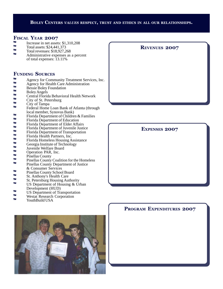#### **BOLEY CENTERS** *VALUES* **RESPECT, TRUST AND ETHICS IN ALL OUR RELATIONSHIPS.**

#### **FISCAL YEAR 2007**

- $m$  Increase in net assets: \$1,310,208
- $T_M$  Total assets: \$24,441,373
- ™ Total revenues: \$18,927,268
- Administrative expenses as a percent of total expenses: 13.11%

#### **FUNDING SOURCES**

- $M_{\text{Agency}}$  for Community Treatment Services, Inc.
- ™ Agency for Health Care Administration
- $W = \text{Bessel} \times \text{Angle}$
- <sup>™</sup> Boley Angels<br>™ Central Elorid
- <sup>™</sup> Central Florida Behavioral Health Network
- $T_M$  City of St. Petersburg
- ™ City of Tampa
- Federal Home Loan Bank of Atlanta (through local member, Synovus Bank)
- <sup>™</sup> Florida Department of Children & Families
- ™ Florida Department of Education
- ™ Florida Department of Elder Affairs
- ™ Florida Department of Juvenile Justice<br>■ Florida Department of Transportation
- ™ Florida Department of Transportation
- $W =$ Florida Health Partners, Inc.
- <sup>™</sup> Florida Homeless Housing Assistance
- <sup>™</sup> Georgia Institute of Technology
- <sup>™</sup> Juvenile Welfare Board
- $W = \begin{array}{cc} \n\text{Operation PAR, Inc.} \\
\text{Dinalles County} \n\end{array}$
- $\frac{m}{m}$  Pinellas County
- ™ Pinellas County Coalition for the Homeless<br>
™ Pinellas County Department of Justice
- Pinellas County Department of Justice & Consumer Services
- ™ Pinellas County School Board
- ™ St. Anthony's Health Care
- $W = \text{St. Petersburg Housing Authority}$
- US Department of Housing & Urban Development (HUD)
- ™ US Department of Transportation
- ™ Westat Research Corporation
- YouthBuild USA



#### **REVENUES 2007**

**EXPENSES 2007**

#### **PROGRAM EXPENDITURES 2007**